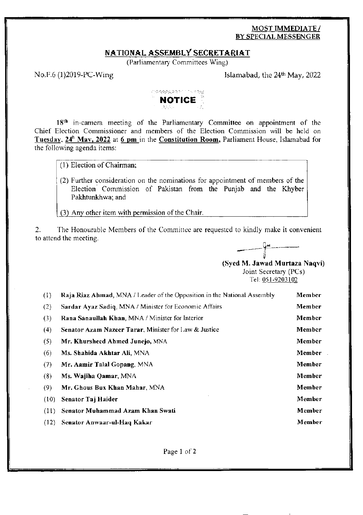## **MOST IMMEDIATE/** BY SPECIAL MESSENGER

#### NATIONAL ASSEMBLY SECRETARIAT

(Parliamentary Committees Wing)

No.F.6 (1)2019-PC-Wing

Islamabad, the 24<sup>th</sup> May, 2022



18<sup>th</sup> in-camera meeting of the Parliamentary Committee on appointment of the Chief Election Commissioner and members of the Election Commission will be held on Tuesday, 24<sup>h</sup> May, 2022 at 6 pm in the Constitution Room, Parliament House, Islamabad for the following agenda items:

(1) Election of Chairman;

(2) Further consideration on the nominations for appointment of members of the Election Commission of Pakistan from the Punjab and the Khyber Pakhtunkhwa: and

(3) Any other item with permission of the Chair.

 $2.$ The Honourable Members of the Committee are requested to kindly make it convenient to attend the meeting.



(Syed M. Jawad Murtaza Naqvi) Joint Secretary (PCs) Tel: 051-9203102

| (1)  | Raja Riaz Ahmad, MNA / Leader of the Opposition in the National Assembly | Member |
|------|--------------------------------------------------------------------------|--------|
| (2)  | Sardar Ayaz Sadiq, MNA / Minister for Economic Affairs                   | Member |
| (3)  | Rana Sanaullah Khan, MNA / Minister for Interior                         | Member |
| (4)  | Senator Azam Nazeer Tarar, Minister for Law & Justice                    | Member |
| (5)  | Mr. Khursheed Ahmed Junejo, MNA                                          | Member |
| (6)  | Ms. Shahida Akhtar Ali, MNA                                              | Member |
| (7)  | Mr. Aamir Talal Gopang, MNA                                              | Member |
| (8)  | Ms. Wajiha Qamar, MNA                                                    | Member |
| (9)  | Mr. Ghous Bux Khan Mahar, MNA                                            | Member |
| (10) | Senator Taj Haider                                                       | Member |
| (11) | Senator Muhammad Azam Khan Swati                                         | Member |
| (12) | Senator Anwaar-ul-Haq Kakar                                              | Member |